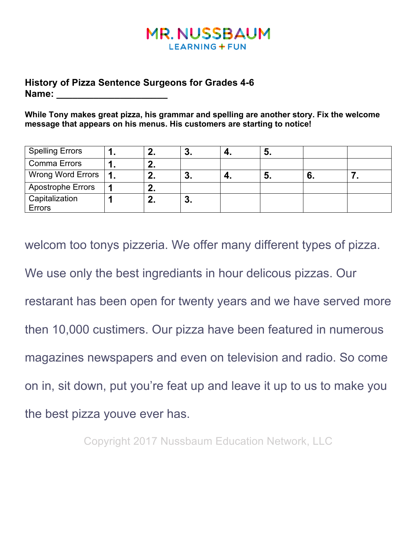## **MR. NUSSBAUM LEARNING + FUN**

## **History of Pizza Sentence Surgeons for Grades 4-6 Name: \_\_\_\_\_\_\_\_\_\_\_\_\_\_\_\_\_\_\_\_\_**

**While Tony makes great pizza, his grammar and spelling are another story. Fix the welcome message that appears on his menus. His customers are starting to notice!**

| <b>Spelling Errors</b>   | . . |             | J. | O.  |    |  |
|--------------------------|-----|-------------|----|-----|----|--|
| <b>Comma Errors</b>      | . . | z.          |    |     |    |  |
| Wrong Word Errors   1    |     |             | J. | IJ. | v. |  |
| <b>Apostrophe Errors</b> |     | <u>. . </u> |    |     |    |  |
| Capitalization           |     |             | J. |     |    |  |
| <b>Errors</b>            |     |             |    |     |    |  |

welcom too tonys pizzeria. We offer many different types of pizza. We use only the best ingrediants in hour delicous pizzas. Our restarant has been open for twenty years and we have served more then 10,000 custimers. Our pizza have been featured in numerous magazines newspapers and even on television and radio. So come on in, sit down, put you're feat up and leave it up to us to make you the best pizza youve ever has.

Copyright 2017 Nussbaum Education Network, LLC